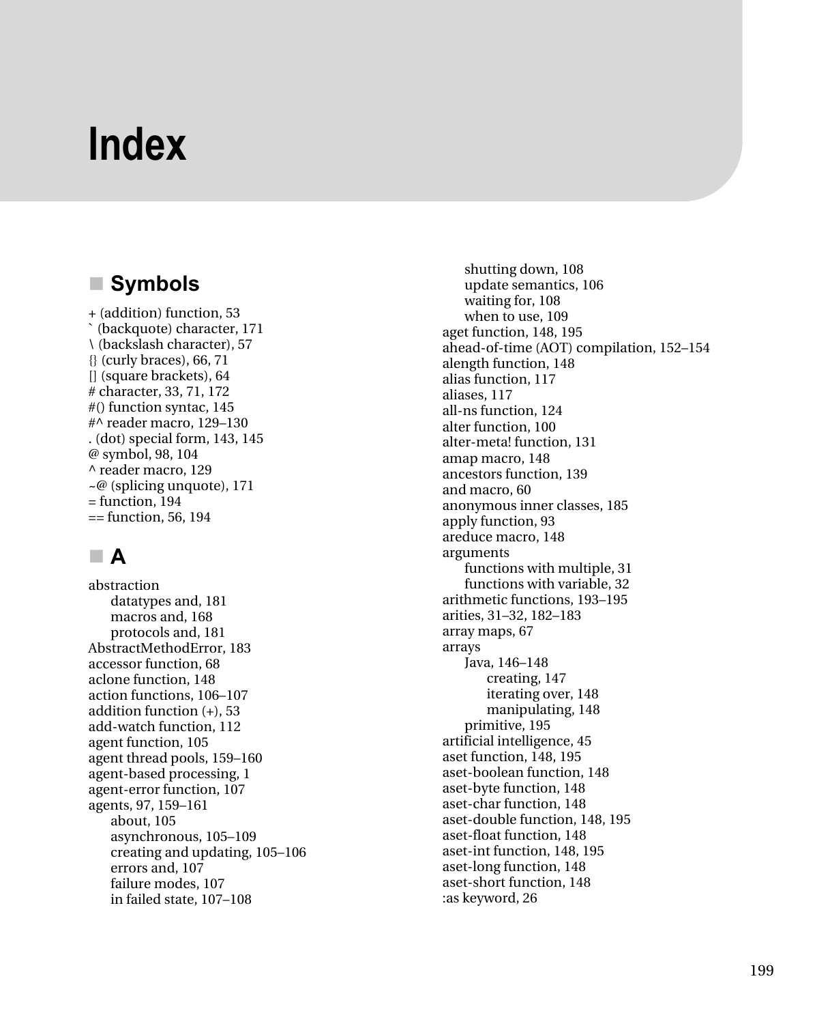# **Index**

## ■ Symbols

+ (addition) function, 53 ` (backquote) character, 171 \ (backslash character), 57 {} (curly braces), 66, 71 [] (square brackets), 64 # character, 33, 71, 172 #() function syntac, 145 #^ reader macro, 129–130 . (dot) special form, 143, 145 @ symbol, 98, 104 ^ reader macro, 129  $~\sim$ @ (splicing unquote), 171  $=$  function, 194  $==$  function, 56, 194

## - **A**

abstraction datatypes and, 181 macros and, 168 protocols and, 181 AbstractMethodError, 183 accessor function, 68 aclone function, 148 action functions, 106–107 addition function (+), 53 add-watch function, 112 agent function, 105 agent thread pools, 159–160 agent-based processing, 1 agent-error function, 107 agents, 97, 159–161 about, 105 asynchronous, 105–109 creating and updating, 105–106 errors and, 107 failure modes, 107 in failed state, 107–108

shutting down, 108 update semantics, 106 waiting for, 108 when to use, 109 aget function, 148, 195 ahead-of-time (AOT) compilation, 152–154 alength function, 148 alias function, 117 aliases, 117 all-ns function, 124 alter function, 100 alter-meta! function, 131 amap macro, 148 ancestors function, 139 and macro, 60 anonymous inner classes, 185 apply function, 93 areduce macro, 148 arguments functions with multiple, 31 functions with variable, 32 arithmetic functions, 193–195 arities, 31–32, 182–183 array maps, 67 arrays Java, 146–148 creating, 147 iterating over, 148 manipulating, 148 primitive, 195 artificial intelligence, 45 aset function, 148, 195 aset-boolean function, 148 aset-byte function, 148 aset-char function, 148 aset-double function, 148, 195 aset-float function, 148 aset-int function, 148, 195 aset-long function, 148 aset-short function, 148 :as keyword, 26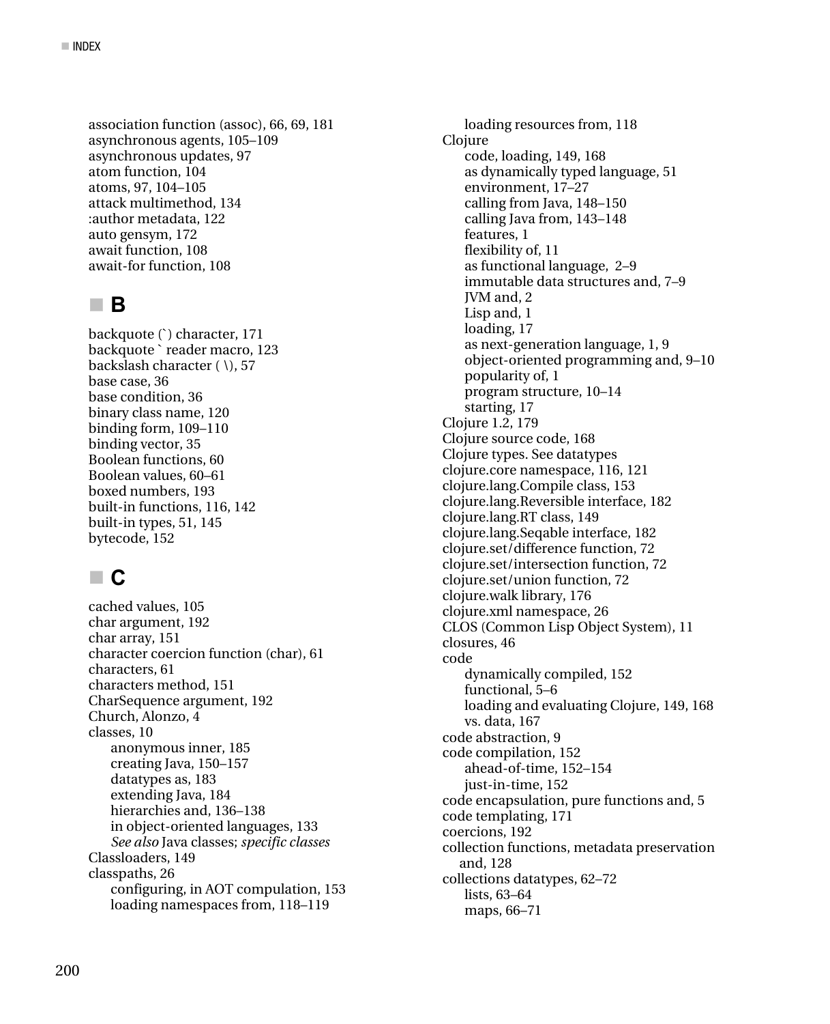association function (assoc), 66, 69, 181 asynchronous agents, 105–109 asynchronous updates, 97 atom function, 104 atoms, 97, 104–105 attack multimethod, 134 :author metadata, 122 auto gensym, 172 await function, 108 await-for function, 108

## - **B**

backquote (`) character, 171 backquote ` reader macro, 123 backslash character ( \), 57 base case, 36 base condition, 36 binary class name, 120 binding form, 109–110 binding vector, 35 Boolean functions, 60 Boolean values, 60–61 boxed numbers, 193 built-in functions, 116, 142 built-in types, 51, 145 bytecode, 152

## - **C**

cached values, 105 char argument, 192 char array, 151 character coercion function (char), 61 characters, 61 characters method, 151 CharSequence argument, 192 Church, Alonzo, 4 classes, 10 anonymous inner, 185 creating Java, 150–157 datatypes as, 183 extending Java, 184 hierarchies and, 136–138 in object-oriented languages, 133 *See also* Java classes; *specific classes* Classloaders, 149 classpaths, 26 configuring, in AOT compulation, 153 loading namespaces from, 118–119

loading resources from, 118 Clojure code, loading, 149, 168 as dynamically typed language, 51 environment, 17–27 calling from Java, 148–150 calling Java from, 143–148 features, 1 flexibility of, 11 as functional language, 2–9 immutable data structures and, 7–9 JVM and, 2 Lisp and, 1 loading, 17 as next-generation language, 1, 9 object-oriented programming and, 9–10 popularity of, 1 program structure, 10–14 starting, 17 Clojure 1.2, 179 Clojure source code, 168 Clojure types. See datatypes clojure.core namespace, 116, 121 clojure.lang.Compile class, 153 clojure.lang.Reversible interface, 182 clojure.lang.RT class, 149 clojure.lang.Seqable interface, 182 clojure.set/difference function, 72 clojure.set/intersection function, 72 clojure.set/union function, 72 clojure.walk library, 176 clojure.xml namespace, 26 CLOS (Common Lisp Object System), 11 closures, 46 code dynamically compiled, 152 functional, 5–6 loading and evaluating Clojure, 149, 168 vs. data, 167 code abstraction, 9 code compilation, 152 ahead-of-time, 152–154 just-in-time, 152 code encapsulation, pure functions and, 5 code templating, 171 coercions, 192 collection functions, metadata preservation and, 128 collections datatypes, 62–72 lists, 63–64 maps, 66–71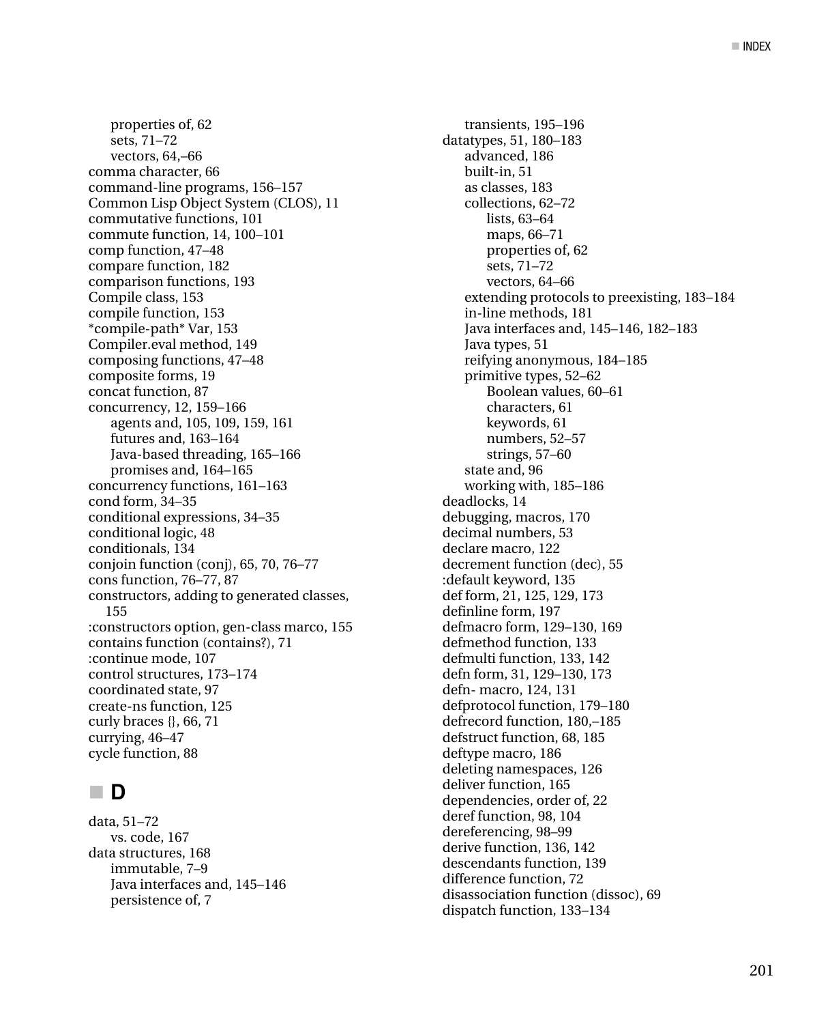properties of, 62 sets, 71–72 vectors, 64,–66 comma character, 66 command-line programs, 156–157 Common Lisp Object System (CLOS), 11 commutative functions, 101 commute function, 14, 100–101 comp function, 47–48 compare function, 182 comparison functions, 193 Compile class, 153 compile function, 153 \*compile-path\* Var, 153 Compiler.eval method, 149 composing functions, 47–48 composite forms, 19 concat function, 87 concurrency, 12, 159–166 agents and, 105, 109, 159, 161 futures and, 163–164 Java-based threading, 165–166 promises and, 164–165 concurrency functions, 161–163 cond form, 34–35 conditional expressions, 34–35 conditional logic, 48 conditionals, 134 conjoin function (conj), 65, 70, 76–77 cons function, 76–77, 87 constructors, adding to generated classes, 155 :constructors option, gen-class marco, 155 contains function (contains?), 71 :continue mode, 107 control structures, 173–174 coordinated state, 97 create-ns function, 125 curly braces {}, 66, 71 currying, 46–47 cycle function, 88

## - **D**

data, 51–72 vs. code, 167 data structures, 168 immutable, 7–9 Java interfaces and, 145–146 persistence of, 7

transients, 195–196 datatypes, 51, 180–183 advanced, 186 built-in, 51 as classes, 183 collections, 62–72 lists, 63–64 maps, 66–71 properties of, 62 sets, 71–72 vectors, 64–66 extending protocols to preexisting, 183–184 in-line methods, 181 Java interfaces and, 145–146, 182–183 Java types, 51 reifying anonymous, 184–185 primitive types, 52–62 Boolean values, 60–61 characters, 61 keywords, 61 numbers, 52–57 strings, 57–60 state and, 96 working with, 185–186 deadlocks, 14 debugging, macros, 170 decimal numbers, 53 declare macro, 122 decrement function (dec), 55 :default keyword, 135 def form, 21, 125, 129, 173 definline form, 197 defmacro form, 129–130, 169 defmethod function, 133 defmulti function, 133, 142 defn form, 31, 129–130, 173 defn- macro, 124, 131 defprotocol function, 179–180 defrecord function, 180,–185 defstruct function, 68, 185 deftype macro, 186 deleting namespaces, 126 deliver function, 165 dependencies, order of, 22 deref function, 98, 104 dereferencing, 98–99 derive function, 136, 142 descendants function, 139 difference function, 72 disassociation function (dissoc), 69 dispatch function, 133–134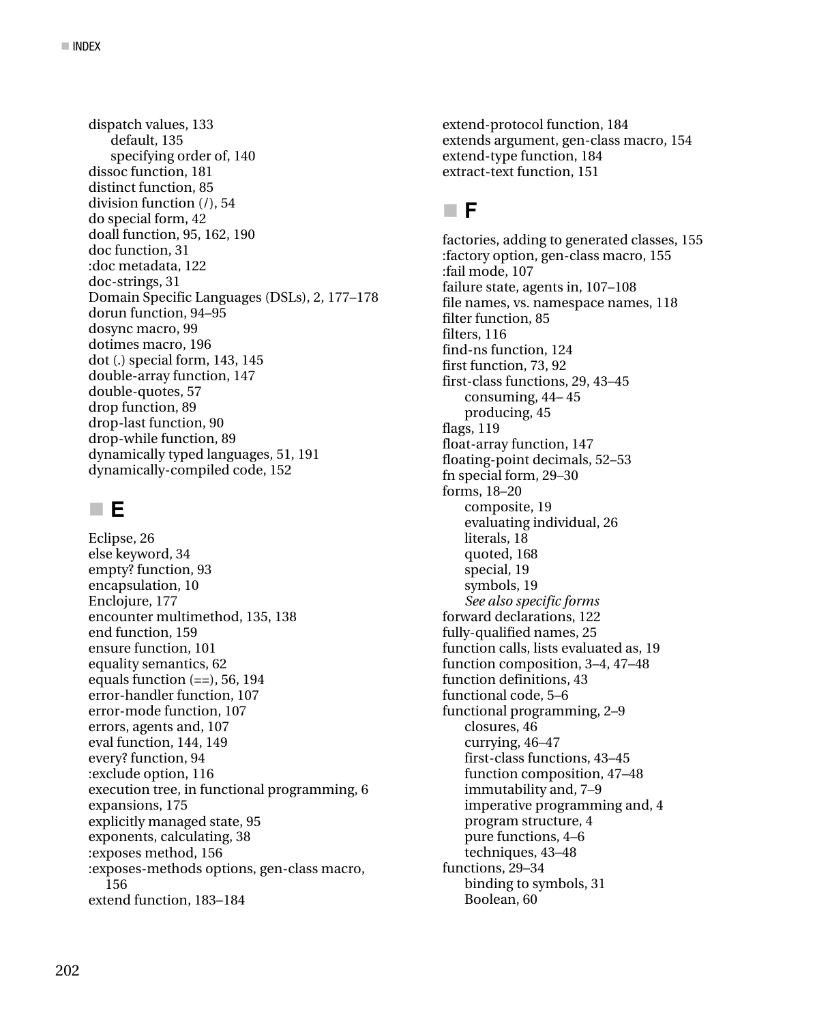dispatch values, 133 default, 135 specifying order of, 140 dissoc function, 181 distinct function, 85 division function (/), 54 do special form, 42 doall function, 95, 162, 190 doc function, 31 :doc metadata, 122 doc-strings, 31 Domain Specific Languages (DSLs), 2, 177–178 dorun function, 94–95 dosync macro, 99 dotimes macro, 196 dot (.) special form, 143, 145 double-array function, 147 double-quotes, 57 drop function, 89 drop-last function, 90 drop-while function, 89 dynamically typed languages, 51, 191 dynamically-compiled code, 152

#### - **E**

Eclipse, 26 else keyword, 34 empty? function, 93 encapsulation, 10 Enclojure, 177 encounter multimethod, 135, 138 end function, 159 ensure function, 101 equality semantics, 62 equals function  $(==)$ , 56, 194 error-handler function, 107 error-mode function, 107 errors, agents and, 107 eval function, 144, 149 every? function, 94 :exclude option, 116 execution tree, in functional programming, 6 expansions, 175 explicitly managed state, 95 exponents, calculating, 38 :exposes method, 156 :exposes-methods options, gen-class macro, 156 extend function, 183–184

extend-protocol function, 184 extends argument, gen-class macro, 154 extend-type function, 184 extract-text function, 151

#### - **F**

factories, adding to generated classes, 155 :factory option, gen-class macro, 155 :fail mode, 107 failure state, agents in, 107–108 file names, vs. namespace names, 118 filter function, 85 filters, 116 find-ns function, 124 first function, 73, 92 first-class functions, 29, 43–45 consuming, 44– 45 producing, 45 flags, 119 float-array function, 147 floating-point decimals, 52–53 fn special form, 29–30 forms, 18–20 composite, 19 evaluating individual, 26 literals, 18 quoted, 168 special, 19 symbols, 19 *See also specific forms*  forward declarations, 122 fully-qualified names, 25 function calls, lists evaluated as, 19 function composition, 3–4, 47–48 function definitions, 43 functional code, 5–6 functional programming, 2–9 closures, 46 currying, 46–47 first-class functions, 43–45 function composition, 47–48 immutability and, 7–9 imperative programming and, 4 program structure, 4 pure functions, 4–6 techniques, 43–48 functions, 29–34 binding to symbols, 31 Boolean, 60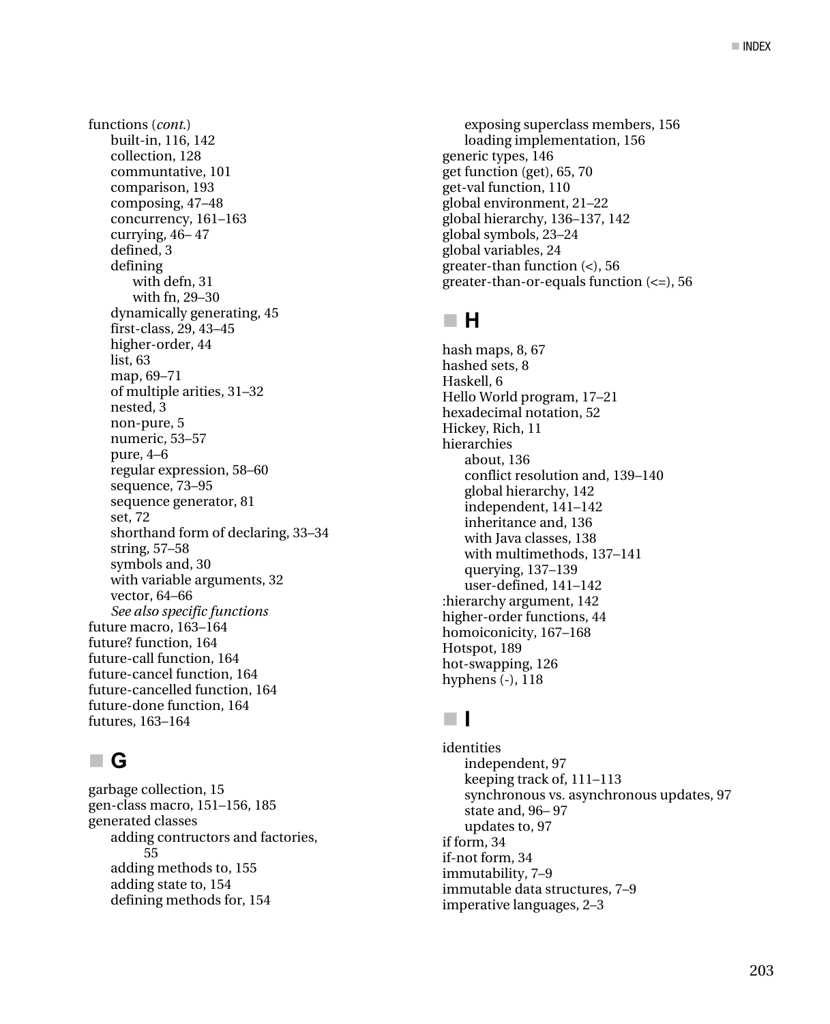functions (*cont*.) built-in, 116, 142 collection, 128 communtative, 101 comparison, 193 composing, 47–48 concurrency, 161–163 currying, 46– 47 defined, 3 defining with defn, 31 with fn, 29–30 dynamically generating, 45 first-class, 29, 43–45 higher-order, 44 list, 63 map, 69–71 of multiple arities, 31–32 nested, 3 non-pure, 5 numeric, 53–57 pure, 4–6 regular expression, 58–60 sequence, 73–95 sequence generator, 81 set, 72 shorthand form of declaring, 33–34 string, 57–58 symbols and, 30 with variable arguments, 32 vector, 64–66 *See also specific functions*  future macro, 163–164 future? function, 164 future-call function, 164 future-cancel function, 164 future-cancelled function, 164 future-done function, 164 futures, 163–164

## - **G**

garbage collection, 15 gen-class macro, 151–156, 185 generated classes adding contructors and factories, 55 adding methods to, 155 adding state to, 154 defining methods for, 154

exposing superclass members, 156 loading implementation, 156 generic types, 146 get function (get), 65, 70 get-val function, 110 global environment, 21–22 global hierarchy, 136–137, 142 global symbols, 23–24 global variables, 24 greater-than function (<), 56 greater-than-or-equals function  $(\leq)$ , 56

## - **H**

hash maps, 8, 67 hashed sets, 8 Haskell, 6 Hello World program, 17–21 hexadecimal notation, 52 Hickey, Rich, 11 hierarchies about, 136 conflict resolution and, 139–140 global hierarchy, 142 independent, 141–142 inheritance and, 136 with Java classes, 138 with multimethods, 137–141 querying, 137–139 user-defined, 141–142 :hierarchy argument, 142 higher-order functions, 44 homoiconicity, 167–168 Hotspot, 189 hot-swapping, 126 hyphens (-), 118

## - **I**

identities independent, 97 keeping track of, 111–113 synchronous vs. asynchronous updates, 97 state and, 96– 97 updates to, 97 if form, 34 if-not form, 34 immutability, 7–9 immutable data structures, 7–9 imperative languages, 2–3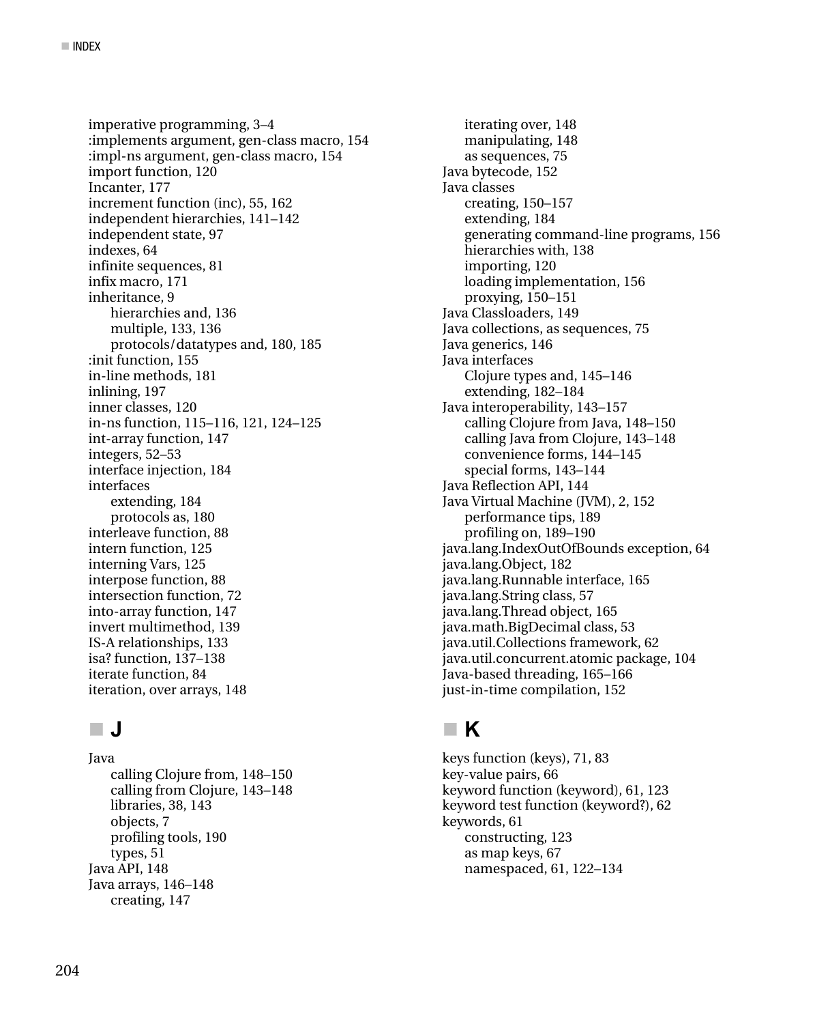imperative programming, 3–4 :implements argument, gen-class macro, 154 :impl-ns argument, gen-class macro, 154 import function, 120 Incanter, 177 increment function (inc), 55, 162 independent hierarchies, 141–142 independent state, 97 indexes, 64 infinite sequences, 81 infix macro, 171 inheritance, 9 hierarchies and, 136 multiple, 133, 136 protocols/datatypes and, 180, 185 :init function, 155 in-line methods, 181 inlining, 197 inner classes, 120 in-ns function, 115–116, 121, 124–125 int-array function, 147 integers, 52–53 interface injection, 184 interfaces extending, 184 protocols as, 180 interleave function, 88 intern function, 125 interning Vars, 125 interpose function, 88 intersection function, 72 into-array function, 147 invert multimethod, 139 IS-A relationships, 133 isa? function, 137–138 iterate function, 84 iteration, over arrays, 148

## - **J**

Java calling Clojure from, 148–150 calling from Clojure, 143–148 libraries, 38, 143 objects, 7 profiling tools, 190 types, 51 Java API, 148 Java arrays, 146–148 creating, 147

iterating over, 148 manipulating, 148 as sequences, 75 Java bytecode, 152 Java classes creating, 150–157 extending, 184 generating command-line programs, 156 hierarchies with, 138 importing, 120 loading implementation, 156 proxying, 150–151 Java Classloaders, 149 Java collections, as sequences, 75 Java generics, 146 Java interfaces Clojure types and, 145–146 extending, 182–184 Java interoperability, 143–157 calling Clojure from Java, 148–150 calling Java from Clojure, 143–148 convenience forms, 144–145 special forms, 143–144 Java Reflection API, 144 Java Virtual Machine (JVM), 2, 152 performance tips, 189 profiling on, 189–190 java.lang.IndexOutOfBounds exception, 64 java.lang.Object, 182 java.lang.Runnable interface, 165 java.lang.String class, 57 java.lang.Thread object, 165 java.math.BigDecimal class, 53 java.util.Collections framework, 62 java.util.concurrent.atomic package, 104 Java-based threading, 165–166 just-in-time compilation, 152

## **K**

keys function (keys), 71, 83 key-value pairs, 66 keyword function (keyword), 61, 123 keyword test function (keyword?), 62 keywords, 61 constructing, 123 as map keys, 67 namespaced, 61, 122–134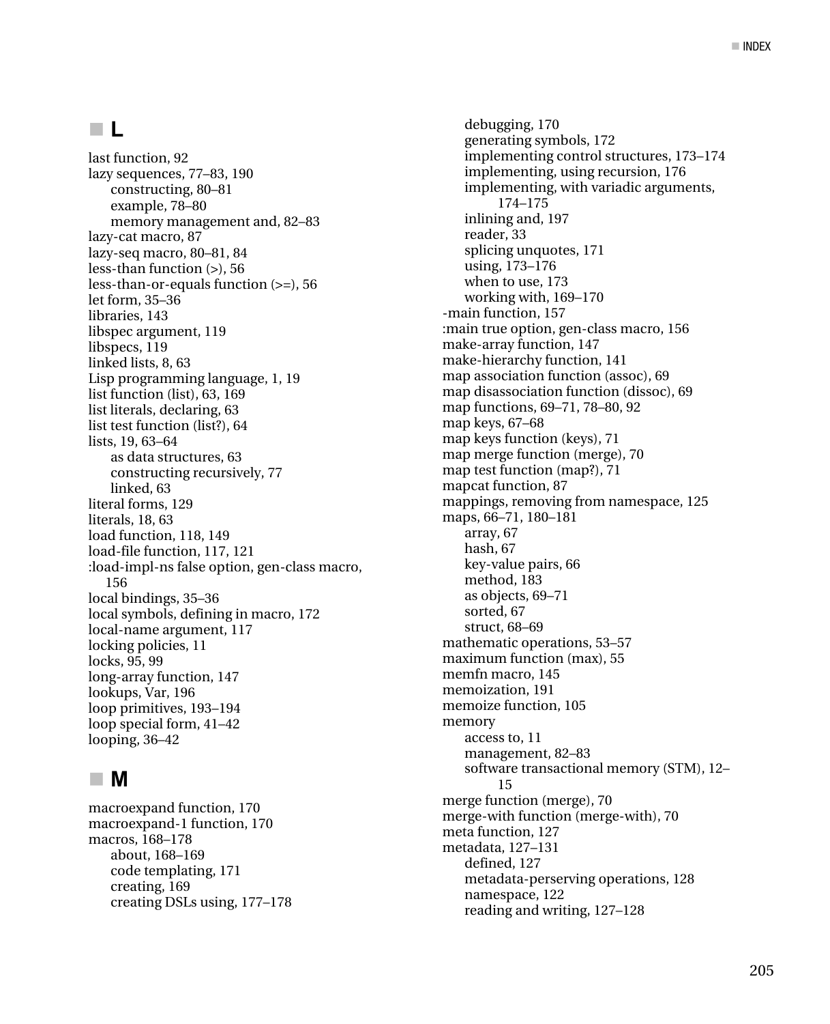## - **L**

last function, 92 lazy sequences, 77–83, 190 constructing, 80–81 example, 78–80 memory management and, 82–83 lazy-cat macro, 87 lazy-seq macro, 80–81, 84 less-than function (>), 56 less-than-or-equals function (>=), 56 let form, 35–36 libraries, 143 libspec argument, 119 libspecs, 119 linked lists, 8, 63 Lisp programming language, 1, 19 list function (list), 63, 169 list literals, declaring, 63 list test function (list?), 64 lists, 19, 63–64 as data structures, 63 constructing recursively, 77 linked, 63 literal forms, 129 literals, 18, 63 load function, 118, 149 load-file function, 117, 121 :load-impl-ns false option, gen-class macro, 156 local bindings, 35–36 local symbols, defining in macro, 172 local-name argument, 117 locking policies, 11 locks, 95, 99 long-array function, 147 lookups, Var, 196 loop primitives, 193–194 loop special form, 41–42 looping, 36–42

## - **M**

macroexpand function, 170 macroexpand-1 function, 170 macros, 168–178 about, 168–169 code templating, 171 creating, 169 creating DSLs using, 177–178

debugging, 170 generating symbols, 172 implementing control structures, 173–174 implementing, using recursion, 176 implementing, with variadic arguments, 174–175 inlining and, 197 reader, 33 splicing unquotes, 171 using, 173–176 when to use, 173 working with, 169–170 -main function, 157 :main true option, gen-class macro, 156 make-array function, 147 make-hierarchy function, 141 map association function (assoc), 69 map disassociation function (dissoc), 69 map functions, 69–71, 78–80, 92 map keys, 67–68 map keys function (keys), 71 map merge function (merge), 70 map test function (map?), 71 mapcat function, 87 mappings, removing from namespace, 125 maps, 66–71, 180–181 array, 67 hash, 67 key-value pairs, 66 method, 183 as objects, 69–71 sorted, 67 struct, 68–69 mathematic operations, 53–57 maximum function (max), 55 memfn macro, 145 memoization, 191 memoize function, 105 memory access to, 11 management, 82–83 software transactional memory (STM), 12– 15 merge function (merge), 70 merge-with function (merge-with), 70 meta function, 127 metadata, 127–131 defined, 127 metadata-perserving operations, 128 namespace, 122 reading and writing, 127–128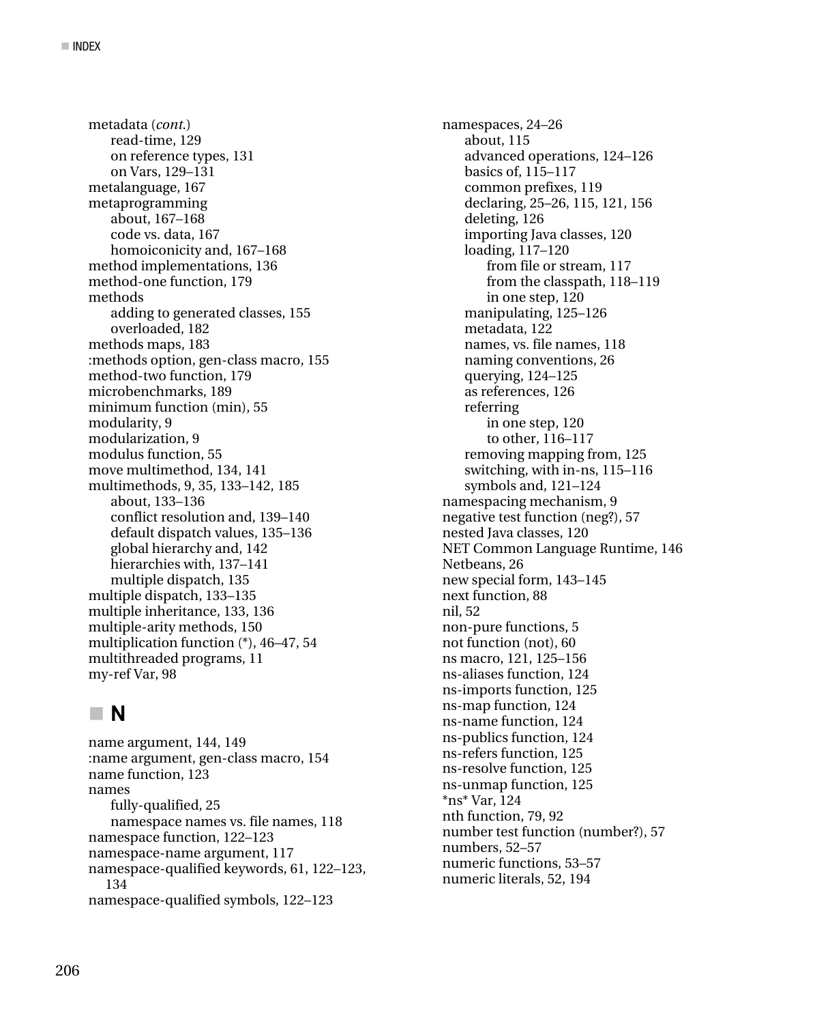metadata (*cont*.) read-time, 129 on reference types, 131 on Vars, 129–131 metalanguage, 167 metaprogramming about, 167–168 code vs. data, 167 homoiconicity and, 167–168 method implementations, 136 method-one function, 179 methods adding to generated classes, 155 overloaded, 182 methods maps, 183 :methods option, gen-class macro, 155 method-two function, 179 microbenchmarks, 189 minimum function (min), 55 modularity, 9 modularization, 9 modulus function, 55 move multimethod, 134, 141 multimethods, 9, 35, 133–142, 185 about, 133–136 conflict resolution and, 139–140 default dispatch values, 135–136 global hierarchy and, 142 hierarchies with, 137–141 multiple dispatch, 135 multiple dispatch, 133–135 multiple inheritance, 133, 136 multiple-arity methods, 150 multiplication function (\*), 46–47, 54 multithreaded programs, 11 my-ref Var, 98

#### $\blacksquare$  **N**

name argument, 144, 149 :name argument, gen-class macro, 154 name function, 123 names fully-qualified, 25 namespace names vs. file names, 118 namespace function, 122–123 namespace-name argument, 117 namespace-qualified keywords, 61, 122–123, 134 namespace-qualified symbols, 122–123

namespaces, 24–26 about, 115 advanced operations, 124–126 basics of, 115–117 common prefixes, 119 declaring, 25–26, 115, 121, 156 deleting, 126 importing Java classes, 120 loading, 117–120 from file or stream, 117 from the classpath, 118–119 in one step, 120 manipulating, 125–126 metadata, 122 names, vs. file names, 118 naming conventions, 26 querying, 124–125 as references, 126 referring in one step, 120 to other, 116–117 removing mapping from, 125 switching, with in-ns, 115–116 symbols and, 121–124 namespacing mechanism, 9 negative test function (neg?), 57 nested Java classes, 120 NET Common Language Runtime, 146 Netbeans, 26 new special form, 143–145 next function, 88 nil, 52 non-pure functions, 5 not function (not), 60 ns macro, 121, 125–156 ns-aliases function, 124 ns-imports function, 125 ns-map function, 124 ns-name function, 124 ns-publics function, 124 ns-refers function, 125 ns-resolve function, 125 ns-unmap function, 125 \*ns\* Var, 124 nth function, 79, 92 number test function (number?), 57 numbers, 52–57 numeric functions, 53–57 numeric literals, 52, 194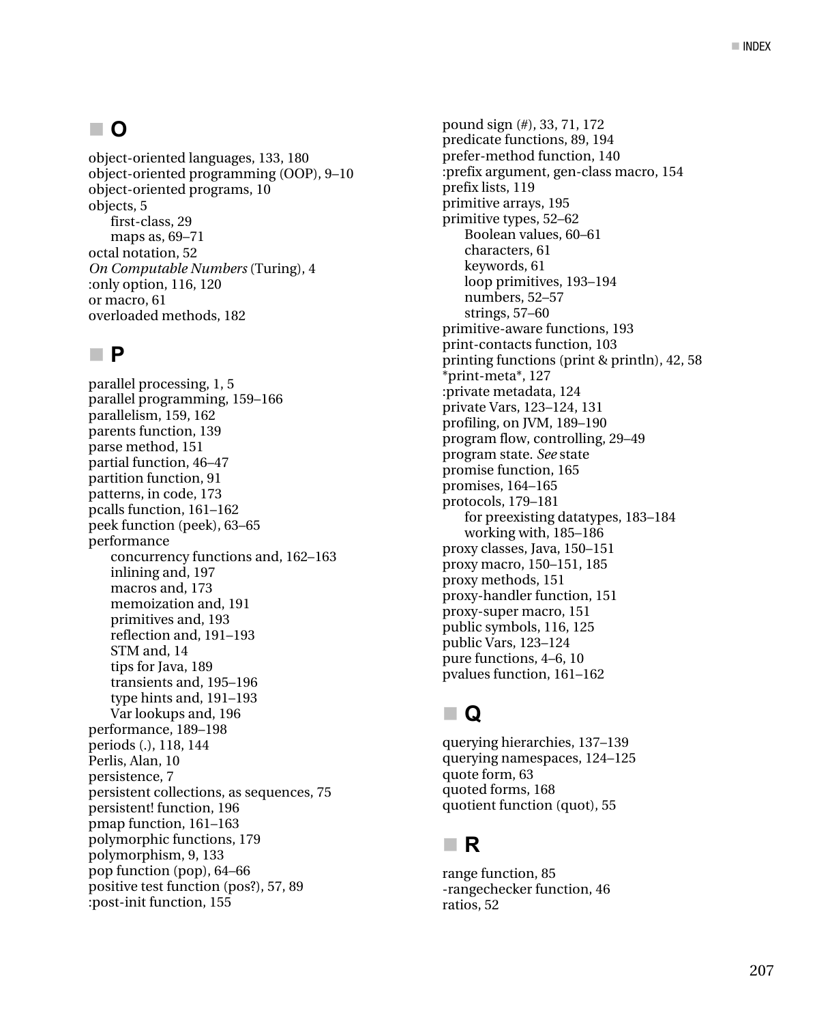## - **O**

object-oriented languages, 133, 180 object-oriented programming (OOP), 9–10 object-oriented programs, 10 objects, 5 first-class, 29 maps as, 69–71 octal notation, 52 *On Computable Numbers* (Turing), 4 :only option, 116, 120 or macro, 61 overloaded methods, 182

#### - **P**

parallel processing, 1, 5 parallel programming, 159–166 parallelism, 159, 162 parents function, 139 parse method, 151 partial function, 46–47 partition function, 91 patterns, in code, 173 pcalls function, 161–162 peek function (peek), 63–65 performance concurrency functions and, 162–163 inlining and, 197 macros and, 173 memoization and, 191 primitives and, 193 reflection and, 191–193 STM and, 14 tips for Java, 189 transients and, 195–196 type hints and, 191–193 Var lookups and, 196 performance, 189–198 periods (.), 118, 144 Perlis, Alan, 10 persistence, 7 persistent collections, as sequences, 75 persistent! function, 196 pmap function, 161–163 polymorphic functions, 179 polymorphism, 9, 133 pop function (pop), 64–66 positive test function (pos?), 57, 89 :post-init function, 155

pound sign (#), 33, 71, 172 predicate functions, 89, 194 prefer-method function, 140 :prefix argument, gen-class macro, 154 prefix lists, 119 primitive arrays, 195 primitive types, 52–62 Boolean values, 60–61 characters, 61 keywords, 61 loop primitives, 193–194 numbers, 52–57 strings, 57–60 primitive-aware functions, 193 print-contacts function, 103 printing functions (print & println), 42, 58 \*print-meta\*, 127 :private metadata, 124 private Vars, 123–124, 131 profiling, on JVM, 189–190 program flow, controlling, 29–49 program state. *See* state promise function, 165 promises, 164–165 protocols, 179–181 for preexisting datatypes, 183–184 working with, 185–186 proxy classes, Java, 150–151 proxy macro, 150–151, 185 proxy methods, 151 proxy-handler function, 151 proxy-super macro, 151 public symbols, 116, 125 public Vars, 123–124 pure functions, 4–6, 10 pvalues function, 161–162

## - **Q**

querying hierarchies, 137–139 querying namespaces, 124–125 quote form, 63 quoted forms, 168 quotient function (quot), 55

## - **R**

range function, 85 -rangechecker function, 46 ratios, 52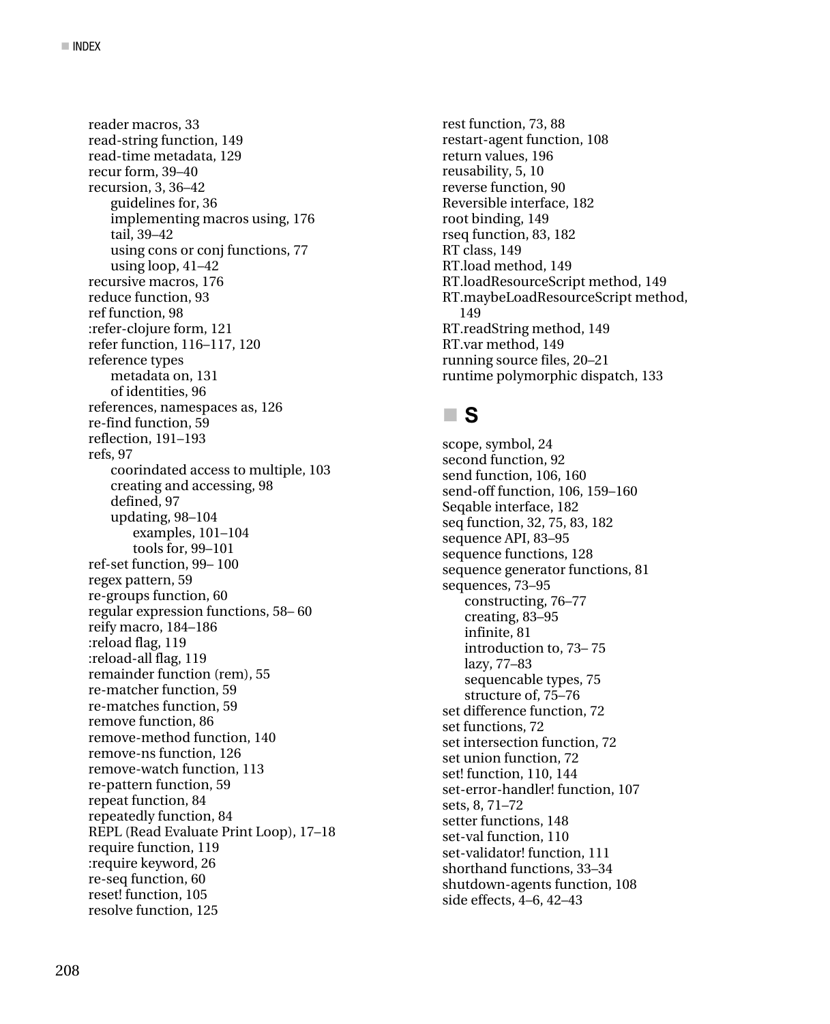reader macros, 33 read-string function, 149 read-time metadata, 129 recur form, 39–40 recursion, 3, 36–42 guidelines for, 36 implementing macros using, 176 tail, 39–42 using cons or conj functions, 77 using loop, 41–42 recursive macros, 176 reduce function, 93 ref function, 98 :refer-clojure form, 121 refer function, 116–117, 120 reference types metadata on, 131 of identities, 96 references, namespaces as, 126 re-find function, 59 reflection, 191–193 refs, 97 coorindated access to multiple, 103 creating and accessing, 98 defined, 97 updating, 98–104 examples, 101–104 tools for, 99–101 ref-set function, 99– 100 regex pattern, 59 re-groups function, 60 regular expression functions, 58– 60 reify macro, 184–186 :reload flag, 119 :reload-all flag, 119 remainder function (rem), 55 re-matcher function, 59 re-matches function, 59 remove function, 86 remove-method function, 140 remove-ns function, 126 remove-watch function, 113 re-pattern function, 59 repeat function, 84 repeatedly function, 84 REPL (Read Evaluate Print Loop), 17–18 require function, 119 :require keyword, 26 re-seq function, 60 reset! function, 105 resolve function, 125

rest function, 73, 88 restart-agent function, 108 return values, 196 reusability, 5, 10 reverse function, 90 Reversible interface, 182 root binding, 149 rseq function, 83, 182 RT class, 149 RT.load method, 149 RT.loadResourceScript method, 149 RT.maybeLoadResourceScript method, 149 RT.readString method, 149 RT.var method, 149 running source files, 20–21 runtime polymorphic dispatch, 133

#### - **S**

scope, symbol, 24 second function, 92 send function, 106, 160 send-off function, 106, 159–160 Seqable interface, 182 seq function, 32, 75, 83, 182 sequence API, 83–95 sequence functions, 128 sequence generator functions, 81 sequences, 73–95 constructing, 76–77 creating, 83–95 infinite, 81 introduction to, 73– 75 lazy, 77–83 sequencable types, 75 structure of, 75–76 set difference function, 72 set functions, 72 set intersection function, 72 set union function, 72 set! function, 110, 144 set-error-handler! function, 107 sets, 8, 71–72 setter functions, 148 set-val function, 110 set-validator! function, 111 shorthand functions, 33–34 shutdown-agents function, 108 side effects, 4–6, 42–43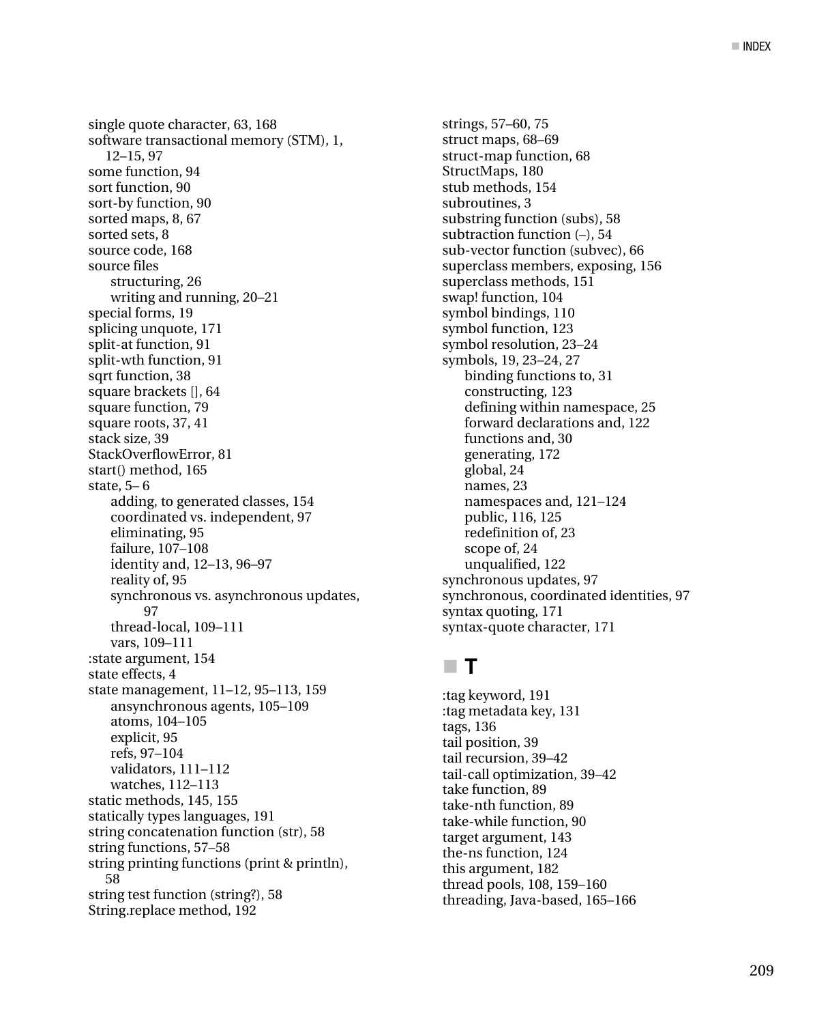single quote character, 63, 168 software transactional memory (STM), 1, 12–15, 97 some function, 94 sort function, 90 sort-by function, 90 sorted maps, 8, 67 sorted sets, 8 source code, 168 source files structuring, 26 writing and running, 20–21 special forms, 19 splicing unquote, 171 split-at function, 91 split-wth function, 91 sqrt function, 38 square brackets [], 64 square function, 79 square roots, 37, 41 stack size, 39 StackOverflowError, 81 start() method, 165 state, 5– 6 adding, to generated classes, 154 coordinated vs. independent, 97 eliminating, 95 failure, 107–108 identity and, 12–13, 96–97 reality of, 95 synchronous vs. asynchronous updates, **97** thread-local, 109–111 vars, 109–111 :state argument, 154 state effects, 4 state management, 11–12, 95–113, 159 ansynchronous agents, 105–109 atoms, 104–105 explicit, 95 refs, 97–104 validators, 111–112 watches, 112–113 static methods, 145, 155 statically types languages, 191 string concatenation function (str), 58 string functions, 57–58 string printing functions (print & println), 58 string test function (string?), 58 String.replace method, 192

strings, 57–60, 75 struct maps, 68–69 struct-map function, 68 StructMaps, 180 stub methods, 154 subroutines, 3 substring function (subs), 58 subtraction function (–), 54 sub-vector function (subvec), 66 superclass members, exposing, 156 superclass methods, 151 swap! function, 104 symbol bindings, 110 symbol function, 123 symbol resolution, 23–24 symbols, 19, 23–24, 27 binding functions to, 31 constructing, 123 defining within namespace, 25 forward declarations and, 122 functions and, 30 generating, 172 global, 24 names, 23 namespaces and, 121–124 public, 116, 125 redefinition of, 23 scope of, 24 unqualified, 122 synchronous updates, 97 synchronous, coordinated identities, 97 syntax quoting, 171 syntax-quote character, 171

#### - **T**

:tag keyword, 191 :tag metadata key, 131 tags, 136 tail position, 39 tail recursion, 39–42 tail-call optimization, 39–42 take function, 89 take-nth function, 89 take-while function, 90 target argument, 143 the-ns function, 124 this argument, 182 thread pools, 108, 159–160 threading, Java-based, 165–166